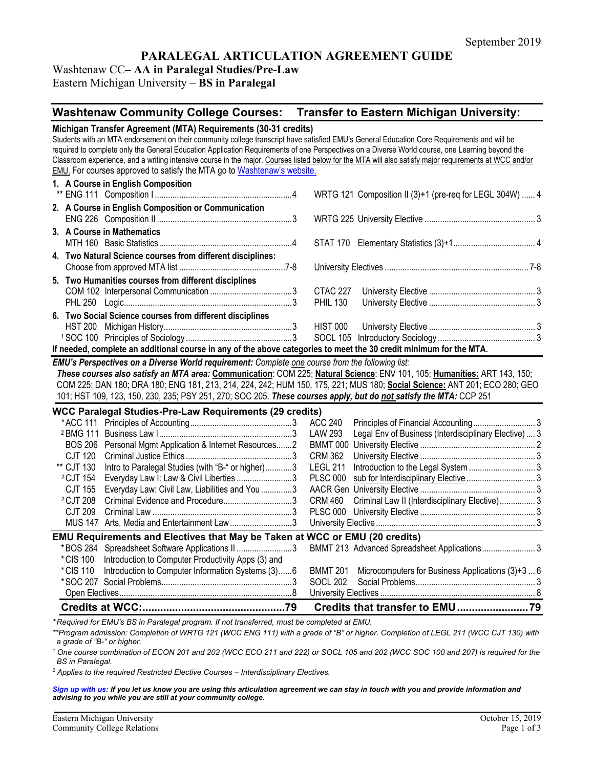# **PARALEGAL ARTICULATION AGREEMENT GUIDE**

# Washtenaw CC**– AA in Paralegal Studies/Pre-Law**

Eastern Michigan University – **BS in Paralegal**

# **Washtenaw Community College Courses: Transfer to Eastern Michigan University:**

| Michigan Transfer Agreement (MTA) Requirements (30-31 credits)<br>Students with an MTA endorsement on their community college transcript have satisfied EMU's General Education Core Requirements and will be<br>required to complete only the General Education Application Requirements of one Perspectives on a Diverse World course, one Learning beyond the<br>Classroom experience, and a writing intensive course in the major. Courses listed below for the MTA will also satisfy major requirements at WCC and/or<br><b>EMU.</b> For courses approved to satisfy the MTA go to Washtenaw's website. |                                                                  |  |  |  |  |
|--------------------------------------------------------------------------------------------------------------------------------------------------------------------------------------------------------------------------------------------------------------------------------------------------------------------------------------------------------------------------------------------------------------------------------------------------------------------------------------------------------------------------------------------------------------------------------------------------------------|------------------------------------------------------------------|--|--|--|--|
| 1. A Course in English Composition                                                                                                                                                                                                                                                                                                                                                                                                                                                                                                                                                                           |                                                                  |  |  |  |  |
|                                                                                                                                                                                                                                                                                                                                                                                                                                                                                                                                                                                                              | WRTG 121 Composition II (3)+1 (pre-req for LEGL 304W)  4         |  |  |  |  |
| 2. A Course in English Composition or Communication                                                                                                                                                                                                                                                                                                                                                                                                                                                                                                                                                          |                                                                  |  |  |  |  |
| 3. A Course in Mathematics                                                                                                                                                                                                                                                                                                                                                                                                                                                                                                                                                                                   |                                                                  |  |  |  |  |
|                                                                                                                                                                                                                                                                                                                                                                                                                                                                                                                                                                                                              |                                                                  |  |  |  |  |
| 4. Two Natural Science courses from different disciplines:                                                                                                                                                                                                                                                                                                                                                                                                                                                                                                                                                   |                                                                  |  |  |  |  |
| 5. Two Humanities courses from different disciplines                                                                                                                                                                                                                                                                                                                                                                                                                                                                                                                                                         |                                                                  |  |  |  |  |
|                                                                                                                                                                                                                                                                                                                                                                                                                                                                                                                                                                                                              | <b>CTAC 227</b>                                                  |  |  |  |  |
|                                                                                                                                                                                                                                                                                                                                                                                                                                                                                                                                                                                                              | <b>PHIL 130</b>                                                  |  |  |  |  |
| 6. Two Social Science courses from different disciplines                                                                                                                                                                                                                                                                                                                                                                                                                                                                                                                                                     |                                                                  |  |  |  |  |
|                                                                                                                                                                                                                                                                                                                                                                                                                                                                                                                                                                                                              | HIST 000                                                         |  |  |  |  |
|                                                                                                                                                                                                                                                                                                                                                                                                                                                                                                                                                                                                              |                                                                  |  |  |  |  |
| If needed, complete an additional course in any of the above categories to meet the 30 credit minimum for the MTA.                                                                                                                                                                                                                                                                                                                                                                                                                                                                                           |                                                                  |  |  |  |  |
| EMU's Perspectives on a Diverse World requirement: Complete one course from the following list:<br>These courses also satisfy an MTA area: Communication: COM 225; Natural Science: ENV 101, 105; Humanities: ART 143, 150;<br>COM 225; DAN 180; DRA 180; ENG 181, 213, 214, 224, 242; HUM 150, 175, 221; MUS 180; Social Science: ANT 201; ECO 280; GEO<br>101; HST 109, 123, 150, 230, 235; PSY 251, 270; SOC 205. These courses apply, but do not satisfy the MTA: CCP 251                                                                                                                                |                                                                  |  |  |  |  |
| WCC Paralegal Studies-Pre-Law Requirements (29 credits)                                                                                                                                                                                                                                                                                                                                                                                                                                                                                                                                                      |                                                                  |  |  |  |  |
|                                                                                                                                                                                                                                                                                                                                                                                                                                                                                                                                                                                                              | <b>ACC 240</b>                                                   |  |  |  |  |
|                                                                                                                                                                                                                                                                                                                                                                                                                                                                                                                                                                                                              | LAW 293<br>Legal Env of Business (Interdisciplinary Elective)  3 |  |  |  |  |
| BOS 206 Personal Mgmt Application & Internet Resources2                                                                                                                                                                                                                                                                                                                                                                                                                                                                                                                                                      |                                                                  |  |  |  |  |
| <b>CJT 120</b>                                                                                                                                                                                                                                                                                                                                                                                                                                                                                                                                                                                               | <b>CRM 362</b>                                                   |  |  |  |  |
| ** CJT 130<br>Intro to Paralegal Studies (with "B-" or higher)3                                                                                                                                                                                                                                                                                                                                                                                                                                                                                                                                              | LEGL 211                                                         |  |  |  |  |
| <sup>2</sup> CJT 154<br>Everyday Law I: Law & Civil Liberties 3                                                                                                                                                                                                                                                                                                                                                                                                                                                                                                                                              | <b>PLSC 000</b>                                                  |  |  |  |  |
| Everyday Law: Civil Law, Liabilities and You 3<br>CJT 155<br><sup>2</sup> CJT 208                                                                                                                                                                                                                                                                                                                                                                                                                                                                                                                            | <b>CRM 460</b>                                                   |  |  |  |  |
| <b>CJT 209</b>                                                                                                                                                                                                                                                                                                                                                                                                                                                                                                                                                                                               | Criminal Law II (Interdisciplinary Elective) 3                   |  |  |  |  |
| MUS 147 Arts, Media and Entertainment Law3                                                                                                                                                                                                                                                                                                                                                                                                                                                                                                                                                                   |                                                                  |  |  |  |  |
|                                                                                                                                                                                                                                                                                                                                                                                                                                                                                                                                                                                                              |                                                                  |  |  |  |  |
| EMU Requirements and Electives that May be Taken at WCC or EMU (20 credits)                                                                                                                                                                                                                                                                                                                                                                                                                                                                                                                                  |                                                                  |  |  |  |  |
| *BOS 284 Spreadsheet Software Applications II 3<br>*CIS 100<br>Introduction to Computer Productivity Apps (3) and                                                                                                                                                                                                                                                                                                                                                                                                                                                                                            | BMMT 213 Advanced Spreadsheet Applications 3                     |  |  |  |  |
| Introduction to Computer Information Systems (3)6<br>*CIS 110                                                                                                                                                                                                                                                                                                                                                                                                                                                                                                                                                | Microcomputers for Business Applications (3)+3  6<br>BMMT 201    |  |  |  |  |
|                                                                                                                                                                                                                                                                                                                                                                                                                                                                                                                                                                                                              | <b>SOCL 202</b>                                                  |  |  |  |  |
|                                                                                                                                                                                                                                                                                                                                                                                                                                                                                                                                                                                                              |                                                                  |  |  |  |  |
|                                                                                                                                                                                                                                                                                                                                                                                                                                                                                                                                                                                                              |                                                                  |  |  |  |  |
| Desiring of fair EAU to DO in Developed was avere if wet transformed, much be exampleted of EAU                                                                                                                                                                                                                                                                                                                                                                                                                                                                                                              |                                                                  |  |  |  |  |

*\* Required for EMU's BS in Paralegal program. If not transferred, must be completed at EMU.* 

*\*\*Program admission: Completion of WRTG 121 (WCC ENG 111) with a grade of "B" or higher. Completion of LEGL 211 (WCC CJT 130) with a grade of "B-" or higher.* 

*<sup>1</sup> One course combination of ECON 201 and 202 (WCC ECO 211 and 222) or SOCL 105 and 202 (WCC SOC 100 and 207) is required for the BS in Paralegal.* 

*<sup>2</sup> Applies to the required Restricted Elective Courses – Interdisciplinary Electives.*

*[Sign up with us:](https://www.emich.edu/ccr/articulation-agreements/signup.php) If you let us know you are using this articulation agreement we can stay in touch with you and provide information and advising to you while you are still at your community college.*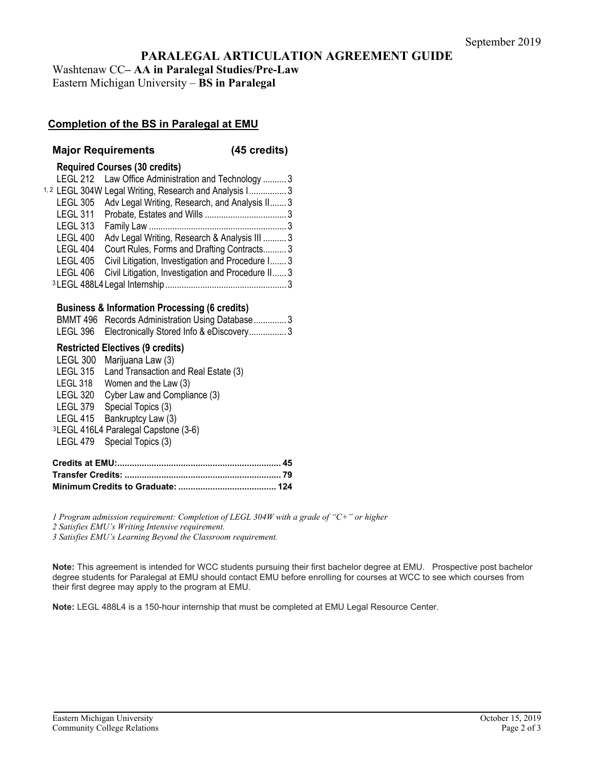# **PARALEGAL ARTICULATION AGREEMENT GUIDE**

Washtenaw CC**– AA in Paralegal Studies/Pre-Law** Eastern Michigan University – **BS in Paralegal**

# **Completion of the BS in Paralegal at EMU**

#### **Major Requirements (45 credits)**

#### **Required Courses (30 credits)**

|                 | LEGL 212 Law Office Administration and Technology  3              |  |
|-----------------|-------------------------------------------------------------------|--|
|                 | <sup>1,2</sup> LEGL 304W Legal Writing, Research and Analysis I 3 |  |
|                 | LEGL 305 Adv Legal Writing, Research, and Analysis II 3           |  |
|                 |                                                                   |  |
| <b>LEGL 313</b> |                                                                   |  |
| <b>LEGL 400</b> | Adv Legal Writing, Research & Analysis III  3                     |  |
| <b>LEGL 404</b> | Court Rules, Forms and Drafting Contracts 3                       |  |
| <b>LEGL 405</b> | Civil Litigation, Investigation and Procedure I 3                 |  |
| LEGL 406        | Civil Litigation, Investigation and Procedure II 3                |  |
|                 |                                                                   |  |

### **Business & Information Processing (6 credits)**

| BMMT 496 Records Administration Using Database3   |
|---------------------------------------------------|
| LEGL 396 Electronically Stored Info & eDiscovery3 |

#### **Restricted Electives (9 credits)**

| <b>LEGL 300</b> | Marijuana Law (3)                                |
|-----------------|--------------------------------------------------|
| <b>LEGL 315</b> | Land Transaction and Real Estate (3)             |
| LEGL 318        | Women and the Law (3)                            |
| <b>LEGL 320</b> | Cyber Law and Compliance (3)                     |
|                 | LEGL 379 Special Topics (3)                      |
|                 | LEGL 415 Bankruptcy Law (3)                      |
|                 | <sup>3</sup> LEGL 416L4 Paralegal Capstone (3-6) |
|                 | LEGL 479 Special Topics (3)                      |

*1 Program admission requirement: Completion of LEGL 304W with a grade of "C+" or higher*

*2 Satisfies EMU's Writing Intensive requirement.*

*3 Satisfies EMU's Learning Beyond the Classroom requirement.* 

**Note:** This agreement is intended for WCC students pursuing their first bachelor degree at EMU. Prospective post bachelor degree students for Paralegal at EMU should contact EMU before enrolling for courses at WCC to see which courses from their first degree may apply to the program at EMU.

**Note:** LEGL 488L4 is a 150-hour internship that must be completed at EMU Legal Resource Center.